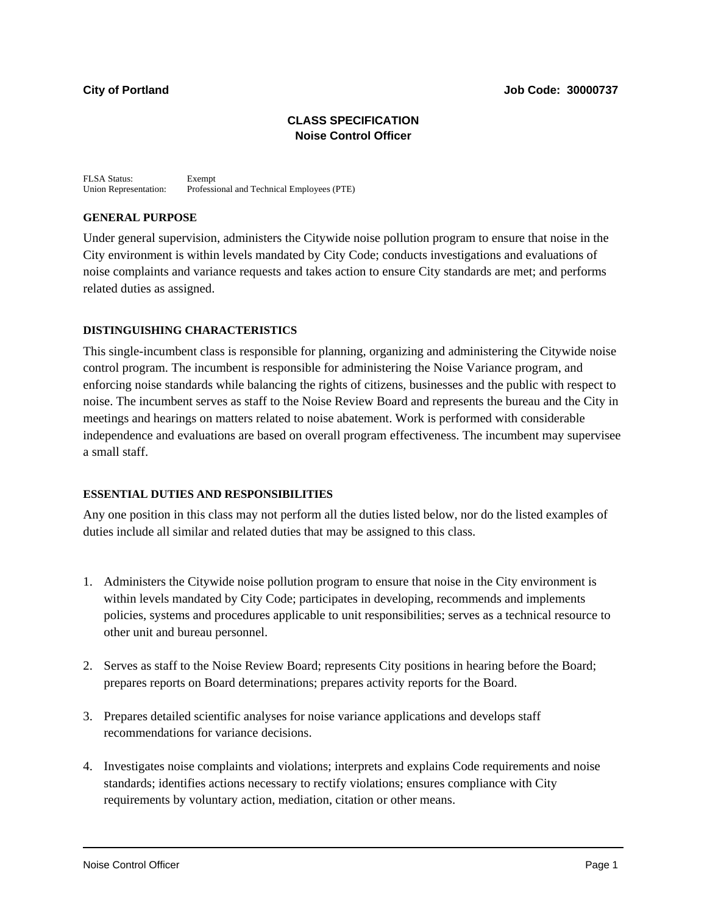# **CLASS SPECIFICATION Noise Control Officer**

FLSA Status: Exempt<br>Union Representation: Professi Professional and Technical Employees (PTE)

## **GENERAL PURPOSE**

Under general supervision, administers the Citywide noise pollution program to ensure that noise in the City environment is within levels mandated by City Code; conducts investigations and evaluations of noise complaints and variance requests and takes action to ensure City standards are met; and performs related duties as assigned.

# **DISTINGUISHING CHARACTERISTICS**

This single-incumbent class is responsible for planning, organizing and administering the Citywide noise control program. The incumbent is responsible for administering the Noise Variance program, and enforcing noise standards while balancing the rights of citizens, businesses and the public with respect to noise. The incumbent serves as staff to the Noise Review Board and represents the bureau and the City in meetings and hearings on matters related to noise abatement. Work is performed with considerable independence and evaluations are based on overall program effectiveness. The incumbent may supervisee a small staff.

## **ESSENTIAL DUTIES AND RESPONSIBILITIES**

Any one position in this class may not perform all the duties listed below, nor do the listed examples of duties include all similar and related duties that may be assigned to this class.

- 1. Administers the Citywide noise pollution program to ensure that noise in the City environment is within levels mandated by City Code; participates in developing, recommends and implements policies, systems and procedures applicable to unit responsibilities; serves as a technical resource to other unit and bureau personnel.
- 2. Serves as staff to the Noise Review Board; represents City positions in hearing before the Board; prepares reports on Board determinations; prepares activity reports for the Board.
- 3. Prepares detailed scientific analyses for noise variance applications and develops staff recommendations for variance decisions.
- 4. Investigates noise complaints and violations; interprets and explains Code requirements and noise standards; identifies actions necessary to rectify violations; ensures compliance with City requirements by voluntary action, mediation, citation or other means.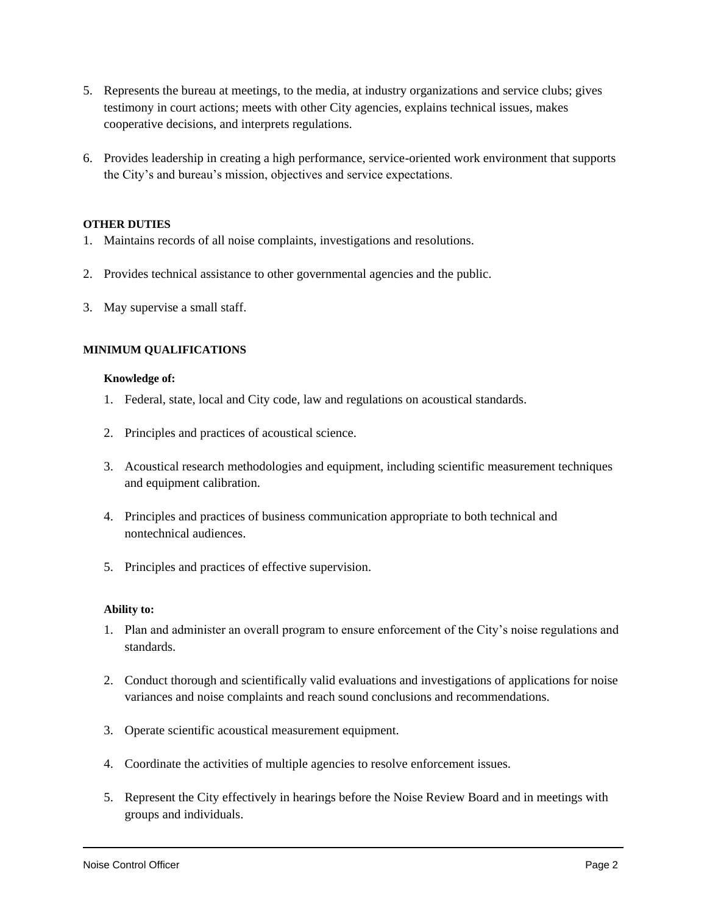- 5. Represents the bureau at meetings, to the media, at industry organizations and service clubs; gives testimony in court actions; meets with other City agencies, explains technical issues, makes cooperative decisions, and interprets regulations.
- 6. Provides leadership in creating a high performance, service-oriented work environment that supports the City's and bureau's mission, objectives and service expectations.

### **OTHER DUTIES**

- 1. Maintains records of all noise complaints, investigations and resolutions.
- 2. Provides technical assistance to other governmental agencies and the public.
- 3. May supervise a small staff.

### **MINIMUM QUALIFICATIONS**

#### **Knowledge of:**

- 1. Federal, state, local and City code, law and regulations on acoustical standards.
- 2. Principles and practices of acoustical science.
- 3. Acoustical research methodologies and equipment, including scientific measurement techniques and equipment calibration.
- 4. Principles and practices of business communication appropriate to both technical and nontechnical audiences.
- 5. Principles and practices of effective supervision.

#### **Ability to:**

- 1. Plan and administer an overall program to ensure enforcement of the City's noise regulations and standards.
- 2. Conduct thorough and scientifically valid evaluations and investigations of applications for noise variances and noise complaints and reach sound conclusions and recommendations.
- 3. Operate scientific acoustical measurement equipment.
- 4. Coordinate the activities of multiple agencies to resolve enforcement issues.
- 5. Represent the City effectively in hearings before the Noise Review Board and in meetings with groups and individuals.